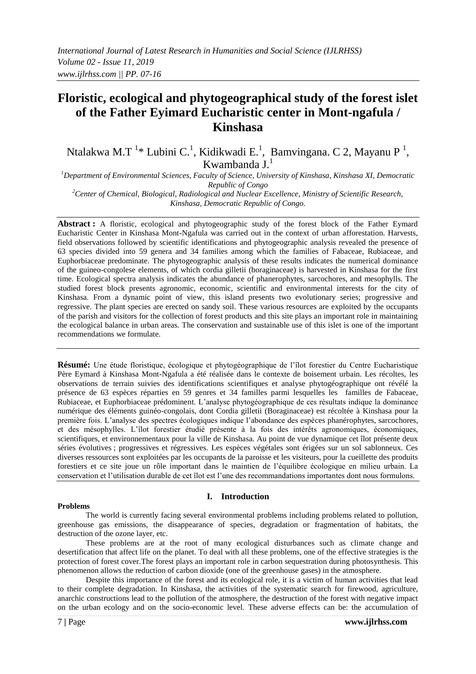# **Floristic, ecological and phytogeographical study of the forest islet of the Father Eyimard Eucharistic center in Mont-ngafula / Kinshasa**

Ntalakwa M.T<sup>1</sup>\* Lubini C.<sup>1</sup>, Kidikwadi E.<sup>1</sup>, Bamvingana. C 2, Mayanu P<sup>1</sup>, Kwambanda  $J^1$ 

*<sup>1</sup>Department of Environmental Sciences, Faculty of Science, University of Kinshasa, Kinshasa XI, Democratic Republic of Congo*

*<sup>2</sup>Center of Chemical, Biological, Radiological and Nuclear Excellence, Ministry of Scientific Research, Kinshasa, Democratic Republic of Congo.*

**Abstract :** A floristic, ecological and phytogeographic study of the forest block of the Father Eymard Eucharistic Center in Kinshasa Mont-Ngafula was carried out in the context of urban afforestation. Harvests, field observations followed by scientific identifications and phytogeographic analysis revealed the presence of 63 species divided into 59 genera and 34 families among which the families of Fabaceae, Rubiaceae, and Euphorbiaceae predominate. The phytogeographic analysis of these results indicates the numerical dominance of the guineo-congolese elements, of which cordia gilletii (boraginaceae) is harvested in Kinshasa for the first time. Ecological spectra analysis indicates the abundance of phanerophytes, sarcochores, and mesophylls. The studied forest block presents agronomic, economic, scientific and environmental interests for the city of Kinshasa. From a dynamic point of view, this island presents two evolutionary series; progressive and regressive. The plant species are erected on sandy soil. These various resources are exploited by the occupants of the parish and visitors for the collection of forest products and this site plays an important role in maintaining the ecological balance in urban areas. The conservation and sustainable use of this islet is one of the important recommendations we formulate.

**Résumé:** Une étude floristique, écologique et phytogéographique de l'îlot forestier du Centre Eucharistique Père Eymard à Kinshasa Mont-Ngafula a été réalisée dans le contexte de boisement urbain. Les récoltes, les observations de terrain suivies des identifications scientifiques et analyse phytogéographique ont révélé la présence de 63 espèces réparties en 59 genres et 34 familles parmi lesquelles les familles de Fabaceae, Rubiaceae, et Euphorbiaceae prédominent. L'analyse phytogéographique de ces résultats indique la dominance numérique des éléments guinéo-congolais, dont Cordia gilletii (Boraginaceae) est récoltée à Kinshasa pour la première fois. L'analyse des spectres écologiques indique l'abondance des espèces phanérophytes, sarcochores, et des mésophylles. L'îlot forestier étudié présente à la fois des intérêts agronomiques, économiques, scientifiques, et environnementaux pour la ville de Kinshasa. Au point de vue dynamique cet îlot présente deux séries évolutives ; progressives et régressives. Les espèces végétales sont érigées sur un sol sablonneux. Ces diverses ressources sont exploitées par les occupants de la paroisse et les visiteurs, pour la cueillette des produits forestiers et ce site joue un rôle important dans le maintien de l'équilibre écologique en milieu urbain. La conservation et l'utilisation durable de cet îlot est l'une des recommandations importantes dont nous formulons.

#### **Problems**

#### **I. Introduction**

The world is currently facing several environmental problems including problems related to pollution, greenhouse gas emissions, the disappearance of species, degradation or fragmentation of habitats, the destruction of the ozone layer, etc.

These problems are at the root of many ecological disturbances such as climate change and desertification that affect life on the planet. To deal with all these problems, one of the effective strategies is the protection of forest cover.The forest plays an important role in carbon sequestration during photosynthesis. This phenomenon allows the reduction of carbon dioxide (one of the greenhouse gases) in the atmosphere.

Despite this importance of the forest and its ecological role, it is a victim of human activities that lead to their complete degradation. In Kinshasa, the activities of the systematic search for firewood, agriculture, anarchic constructions lead to the pollution of the atmosphere, the destruction of the forest with negative impact on the urban ecology and on the socio-economic level. These adverse effects can be: the accumulation of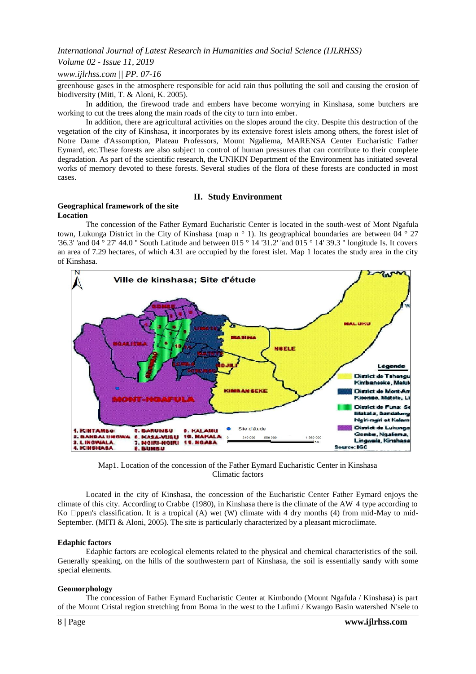# *Volume 02 - Issue 11, 2019*

## *www.ijlrhss.com || PP. 07-16*

greenhouse gases in the atmosphere responsible for acid rain thus polluting the soil and causing the erosion of biodiversity (Miti, T. & Aloni, K. 2005).

In addition, the firewood trade and embers have become worrying in Kinshasa, some butchers are working to cut the trees along the main roads of the city to turn into ember.

In addition, there are agricultural activities on the slopes around the city. Despite this destruction of the vegetation of the city of Kinshasa, it incorporates by its extensive forest islets among others, the forest islet of Notre Dame d'Assomption, Plateau Professors, Mount Ngaliema, MARENSA Center Eucharistic Father Eymard, etc.These forests are also subject to control of human pressures that can contribute to their complete degradation. As part of the scientific research, the UNIKIN Department of the Environment has initiated several works of memory devoted to these forests. Several studies of the flora of these forests are conducted in most cases.

### **II. Study Environment**

#### **Geographical framework of the site Location**

The concession of the Father Eymard Eucharistic Center is located in the south-west of Mont Ngafula town, Lukunga District in the City of Kinshasa (map n ° 1). Its geographical boundaries are between 04 ° 27 '36.3' 'and 04 ° 27' 44.0 '' South Latitude and between 015 ° 14 '31.2' 'and 015 ° 14' 39.3 '' longitude Is. It covers an area of 7.29 hectares, of which 4.31 are occupied by the forest islet. Map 1 locates the study area in the city of Kinshasa.



Map1. Location of the concession of the Father Eymard Eucharistic Center in Kinshasa Climatic factors

Located in the city of Kinshasa, the concession of the Eucharistic Center Father Eymard enjoys the climate of this city. According to Crabbe (1980), in Kinshasa there is the climate of the AW 4 type according to Ko  $\Box$ ppen's classification. It is a tropical (A) wet (W) climate with 4 dry months (4) from mid-May to mid-September. (MITI & Aloni, 2005). The site is particularly characterized by a pleasant microclimate.

#### **Edaphic factors**

Edaphic factors are ecological elements related to the physical and chemical characteristics of the soil. Generally speaking, on the hills of the southwestern part of Kinshasa, the soil is essentially sandy with some special elements.

#### **Geomorphology**

The concession of Father Eymard Eucharistic Center at Kimbondo (Mount Ngafula / Kinshasa) is part of the Mount Cristal region stretching from Boma in the west to the Lufimi / Kwango Basin watershed N'sele to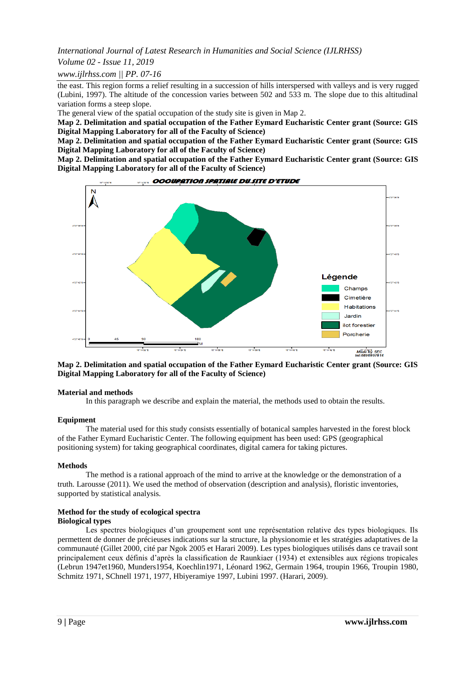*Volume 02 - Issue 11, 2019*

*www.ijlrhss.com || PP. 07-16*

the east. This region forms a relief resulting in a succession of hills interspersed with valleys and is very rugged (Lubini, 1997). The altitude of the concession varies between 502 and 533 m. The slope due to this altitudinal variation forms a steep slope.

The general view of the spatial occupation of the study site is given in Map 2.

**Map 2. Delimitation and spatial occupation of the Father Eymard Eucharistic Center grant (Source: GIS Digital Mapping Laboratory for all of the Faculty of Science)**

**Map 2. Delimitation and spatial occupation of the Father Eymard Eucharistic Center grant (Source: GIS Digital Mapping Laboratory for all of the Faculty of Science)**

**Map 2. Delimitation and spatial occupation of the Father Eymard Eucharistic Center grant (Source: GIS Digital Mapping Laboratory for all of the Faculty of Science)**



**Map 2. Delimitation and spatial occupation of the Father Eymard Eucharistic Center grant (Source: GIS Digital Mapping Laboratory for all of the Faculty of Science)**

#### **Material and methods**

In this paragraph we describe and explain the material, the methods used to obtain the results.

#### **Equipment**

The material used for this study consists essentially of botanical samples harvested in the forest block of the Father Eymard Eucharistic Center. The following equipment has been used: GPS (geographical positioning system) for taking geographical coordinates, digital camera for taking pictures.

#### **Methods**

The method is a rational approach of the mind to arrive at the knowledge or the demonstration of a truth. Larousse (2011). We used the method of observation (description and analysis), floristic inventories, supported by statistical analysis.

#### **Method for the study of ecological spectra Biological types**

Les spectres biologiques d'un groupement sont une représentation relative des types biologiques. Ils permettent de donner de précieuses indications sur la structure, la physionomie et les stratégies adaptatives de la communauté (Gillet 2000, cité par Ngok 2005 et Harari 2009). Les types biologiques utilisés dans ce travail sont principalement ceux définis d'après la classification de Raunkiaer (1934) et extensibles aux régions tropicales (Lebrun 1947et1960, Munders1954, Koechlin1971, Léonard 1962, Germain 1964, troupin 1966, Troupin 1980, Schmitz 1971, SChnell 1971, 1977, Hbiyeramiye 1997, Lubini 1997. (Harari, 2009).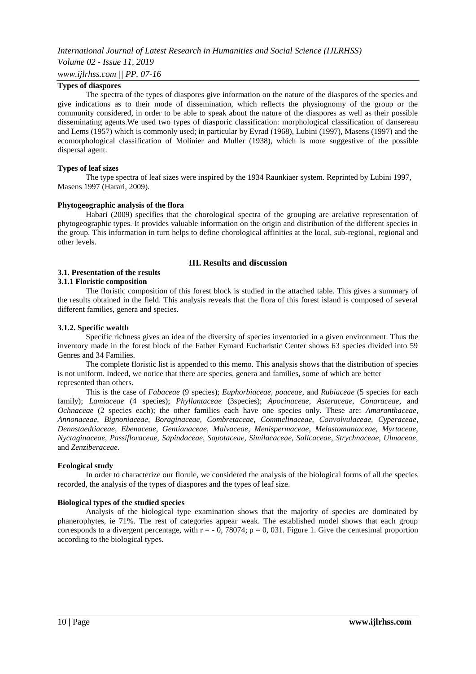# **Types of diaspores**

The spectra of the types of diaspores give information on the nature of the diaspores of the species and give indications as to their mode of dissemination, which reflects the physiognomy of the group or the community considered, in order to be able to speak about the nature of the diaspores as well as their possible disseminating agents.We used two types of diasporic classification: morphological classification of dansereau and Lems (1957) which is commonly used; in particular by Evrad (1968), Lubini (1997), Masens (1997) and the ecomorphological classification of Molinier and Muller (1938), which is more suggestive of the possible dispersal agent.

#### **Types of leaf sizes**

The type spectra of leaf sizes were inspired by the 1934 Raunkiaer system. Reprinted by Lubini 1997, Masens 1997 (Harari, 2009).

#### **Phytogeographic analysis of the flora**

Habari (2009) specifies that the chorological spectra of the grouping are arelative representation of phytogeographic types. It provides valuable information on the origin and distribution of the different species in the group. This information in turn helps to define chorological affinities at the local, sub-regional, regional and other levels.

#### **III. Results and discussion**

#### **3.1. Presentation of the results 3.1.1 Floristic composition**

The floristic composition of this forest block is studied in the attached table. This gives a summary of the results obtained in the field. This analysis reveals that the flora of this forest island is composed of several different families, genera and species.

#### **3.1.2. Specific wealth**

Specific richness gives an idea of the diversity of species inventoried in a given environment. Thus the inventory made in the forest block of the Father Eymard Eucharistic Center shows 63 species divided into 59 Genres and 34 Families.

The complete floristic list is appended to this memo. This analysis shows that the distribution of species is not uniform. Indeed, we notice that there are species, genera and families, some of which are better represented than others.

This is the case of *Fabaceae* (9 species); *Euphorbiaceae, poaceae*, and *Rubiaceae* (5 species for each family); *Lamiaceae* (4 species); *Phyllantaceae* (3species); *Apocinaceae*, *Asteraceae*, *Conaraceae*, and *Ochnaceae* (2 species each); the other families each have one species only. These are: *Amaranthaceae, Annonaceae, Bignoniaceae, Boraginaceae, Combretaceae, Commelinaceae, Convolvulaceae, Cyperaceae, Dennstaedtiaceae, Ebenaceae, Gentianaceae, Malvaceae, Menispermaceae, Melastomantaceae, Myrtaceae, Nyctaginaceae, Passifloraceae, Sapindaceae, Sapotaceae, Similacaceae, Salicaceae, Strychnaceae, Ulmaceae,*  and *Zenziberaceae.*

#### **Ecological study**

In order to characterize our florule, we considered the analysis of the biological forms of all the species recorded, the analysis of the types of diaspores and the types of leaf size.

#### **Biological types of the studied species**

Analysis of the biological type examination shows that the majority of species are dominated by phanerophytes, ie 71%. The rest of categories appear weak. The established model shows that each group corresponds to a divergent percentage, with  $r = -0$ , 78074;  $p = 0$ , 031. Figure 1. Give the centesimal proportion according to the biological types.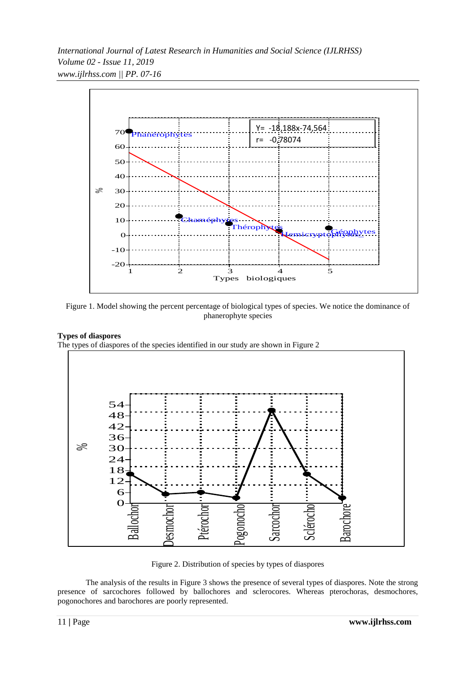

Figure 1. Model showing the percent percentage of biological types of species. We notice the dominance of phanerophyte species

# **Types of diaspores**

The types of diaspores of the species identified in our study are shown in Figure 2



Figure 2. Distribution of species by types of diaspores

The analysis of the results in Figure 3 shows the presence of several types of diaspores. Note the strong presence of sarcochores followed by ballochores and sclerocores. Whereas pterochoras, desmochores, pogonochores and barochores are poorly represented.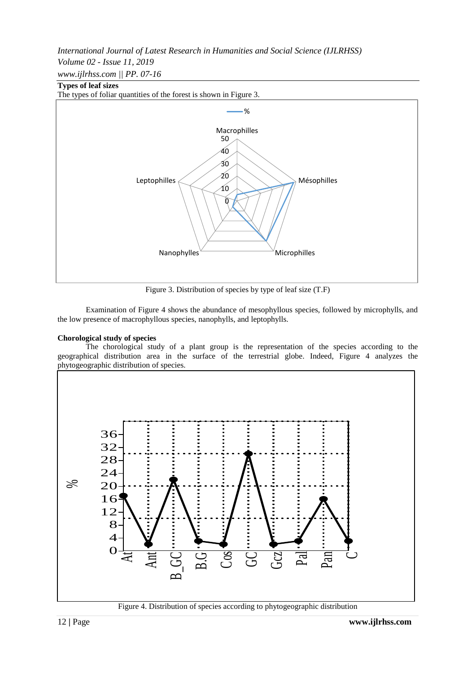*Volume 02 - Issue 11, 2019*

*www.ijlrhss.com || PP. 07-16*

# **Types of leaf sizes**



Figure 3. Distribution of species by type of leaf size (T.F)

Examination of Figure 4 shows the abundance of mesophyllous species, followed by microphylls, and the low presence of macrophyllous species, nanophylls, and leptophylls.

# **Chorological study of species**

The chorological study of a plant group is the representation of the species according to the geographical distribution area in the surface of the terrestrial globe. Indeed, Figure 4 analyzes the phytogeographic distribution of species.



Figure 4. Distribution of species according to phytogeographic distribution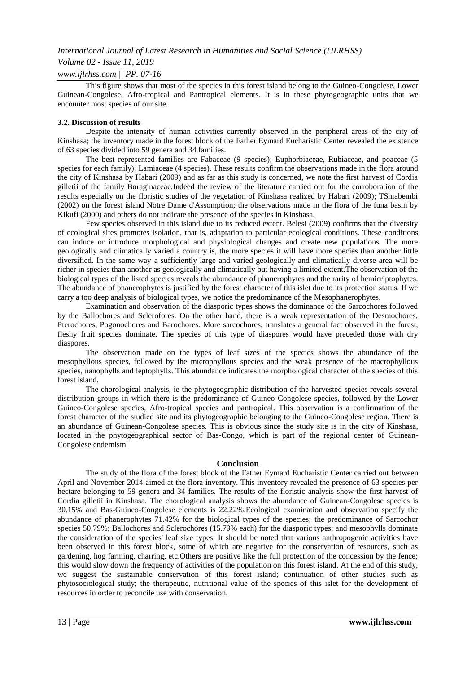# *Volume 02 - Issue 11, 2019*

## *www.ijlrhss.com || PP. 07-16*

This figure shows that most of the species in this forest island belong to the Guineo-Congolese, Lower Guinean-Congolese, Afro-tropical and Pantropical elements. It is in these phytogeographic units that we encounter most species of our site.

#### **3.2. Discussion of results**

Despite the intensity of human activities currently observed in the peripheral areas of the city of Kinshasa; the inventory made in the forest block of the Father Eymard Eucharistic Center revealed the existence of 63 species divided into 59 genera and 34 families.

The best represented families are Fabaceae (9 species); Euphorbiaceae, Rubiaceae, and poaceae (5 species for each family); Lamiaceae (4 species). These results confirm the observations made in the flora around the city of Kinshasa by Habari (2009) and as far as this study is concerned, we note the first harvest of Cordia gilletii of the family Boraginaceae.Indeed the review of the literature carried out for the corroboration of the results especially on the floristic studies of the vegetation of Kinshasa realized by Habari (2009); TShiabembi (2002) on the forest island Notre Dame d'Assomption; the observations made in the flora of the funa basin by Kikufi (2000) and others do not indicate the presence of the species in Kinshasa.

Few species observed in this island due to its reduced extent. Belesi (2009) confirms that the diversity of ecological sites promotes isolation, that is, adaptation to particular ecological conditions. These conditions can induce or introduce morphological and physiological changes and create new populations. The more geologically and climatically varied a country is, the more species it will have more species than another little diversified. In the same way a sufficiently large and varied geologically and climatically diverse area will be richer in species than another as geologically and climatically but having a limited extent.The observation of the biological types of the listed species reveals the abundance of phanerophytes and the rarity of hemicriptophytes. The abundance of phanerophytes is justified by the forest character of this islet due to its protection status. If we carry a too deep analysis of biological types, we notice the predominance of the Mesophanerophytes.

Examination and observation of the diasporic types shows the dominance of the Sarcochores followed by the Ballochores and Sclerofores. On the other hand, there is a weak representation of the Desmochores, Pterochores, Pogonochores and Barochores. More sarcochores, translates a general fact observed in the forest, fleshy fruit species dominate. The species of this type of diaspores would have preceded those with dry diaspores.

The observation made on the types of leaf sizes of the species shows the abundance of the mesophyllous species, followed by the microphyllous species and the weak presence of the macrophyllous species, nanophylls and leptophylls. This abundance indicates the morphological character of the species of this forest island.

The chorological analysis, ie the phytogeographic distribution of the harvested species reveals several distribution groups in which there is the predominance of Guineo-Congolese species, followed by the Lower Guineo-Congolese species, Afro-tropical species and pantropical. This observation is a confirmation of the forest character of the studied site and its phytogeographic belonging to the Guineo-Congolese region. There is an abundance of Guinean-Congolese species. This is obvious since the study site is in the city of Kinshasa, located in the phytogeographical sector of Bas-Congo, which is part of the regional center of Guinean-Congolese endemism.

#### **Conclusion**

The study of the flora of the forest block of the Father Eymard Eucharistic Center carried out between April and November 2014 aimed at the flora inventory. This inventory revealed the presence of 63 species per hectare belonging to 59 genera and 34 families. The results of the floristic analysis show the first harvest of Cordia gilletii in Kinshasa. The chorological analysis shows the abundance of Guinean-Congolese species is 30.15% and Bas-Guineo-Congolese elements is 22.22%.Ecological examination and observation specify the abundance of phanerophytes 71.42% for the biological types of the species; the predominance of Sarcochor species 50.79%; Ballochores and Sclerochores (15.79% each) for the diasporic types; and mesophylls dominate the consideration of the species' leaf size types. It should be noted that various anthropogenic activities have been observed in this forest block, some of which are negative for the conservation of resources, such as gardening, hog farming, charring, etc.Others are positive like the full protection of the concession by the fence; this would slow down the frequency of activities of the population on this forest island. At the end of this study, we suggest the sustainable conservation of this forest island; continuation of other studies such as phytosociological study; the therapeutic, nutritional value of the species of this islet for the development of resources in order to reconcile use with conservation.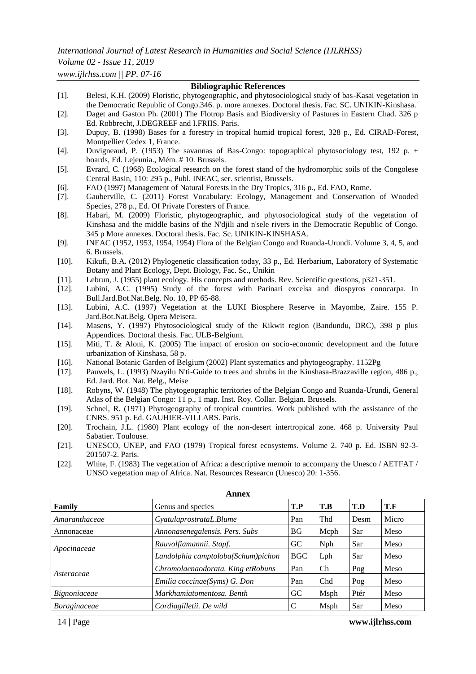# *Volume 02 - Issue 11, 2019*

*www.ijlrhss.com || PP. 07-16*

# **Bibliographic References** [1]. Belesi, K.H. (2009) Floristic, phytogeographic, and phytosociological study of bas-Kasai vegetation in the Democratic Republic of Congo.346. p. more annexes. Doctoral thesis. Fac. SC. UNIKIN-Kinshasa. [2]. Daget and Gaston Ph. (2001) The Flotrop Basis and Biodiversity of Pastures in Eastern Chad. 326 p Ed. Robbrecht, J.DEGREEF and I.FRIIS. Paris. [3]. Dupuy, B. (1998) Bases for a forestry in tropical humid tropical forest, 328 p., Ed. CIRAD-Forest, Montpellier Cedex 1, France. [4]. Duvigneaud, P. (1953) The savannas of Bas-Congo: topographical phytosociology test, 192 p. + boards, Ed. Lejeunia., Mém. # 10. Brussels. [5]. Evrard, C. (1968) Ecological research on the forest stand of the hydromorphic soils of the Congolese Central Basin, 110: 295 p., Publ. INEAC, ser. scientist, Brussels. [6]. FAO (1997) Management of Natural Forests in the Dry Tropics, 316 p., Ed. FAO, Rome. [7]. Gauberville, C. (2011) Forest Vocabulary: Ecology, Management and Conservation of Wooded Species, 278 p., Ed. Of Private Foresters of France. [8]. Habari, M. (2009) Floristic, phytogeographic, and phytosociological study of the vegetation of Kinshasa and the middle basins of the N'djili and n'sele rivers in the Democratic Republic of Congo. 345 p More annexes. Doctoral thesis. Fac. Sc. UNIKIN-KINSHASA. [9]. INEAC (1952, 1953, 1954, 1954) Flora of the Belgian Congo and Ruanda-Urundi. Volume 3, 4, 5, and 6. Brussels. [10]. Kikufi, B.A. (2012) Phylogenetic classification today, 33 p., Ed. Herbarium, Laboratory of Systematic Botany and Plant Ecology, Dept. Biology, Fac. Sc., Unikin [11]. Lebrun, J. (1955) plant ecology. His concepts and methods. Rev. Scientific questions, p321-351. [12]. Lubini, A.C. (1995) Study of the forest with Parinari excelsa and diospyros conocarpa. In Bull.Jard.Bot.Nat.Belg. No. 10, PP 65-88. [13]. Lubini, A.C. (1997) Vegetation at the LUKI Biosphere Reserve in Mayombe, Zaire. 155 P. Jard.Bot.Nat.Belg. Opera Meisera. [14]. Masens, Y. (1997) Phytosociological study of the Kikwit region (Bandundu, DRC), 398 p plus Appendices. Doctoral thesis. Fac. ULB-Belgium. [15]. Miti, T. & Aloni, K. (2005) The impact of erosion on socio-economic development and the future urbanization of Kinshasa, 58 p. [16]. National Botanic Garden of Belgium (2002) Plant systematics and phytogeography. 1152Pg [17]. Pauwels, L. (1993) Nzayilu N'ti-Guide to trees and shrubs in the Kinshasa-Brazzaville region, 486 p., Ed. Jard. Bot. Nat. Belg., Meise [18]. Robyns, W. (1948) The phytogeographic territories of the Belgian Congo and Ruanda-Urundi, General Atlas of the Belgian Congo: 11 p., 1 map. Inst. Roy. Collar. Belgian. Brussels. [19]. Schnel, R. (1971) Phytogeography of tropical countries. Work published with the assistance of the CNRS. 951 p. Ed. GAUHIER-VILLARS. Paris. [20]. Trochain, J.L. (1980) Plant ecology of the non-desert intertropical zone. 468 p. University Paul Sabatier. Toulouse. [21]. UNESCO, UNEP, and FAO (1979) Tropical forest ecosystems. Volume 2. 740 p. Ed. ISBN 92-3- 201507-2. Paris. [22]. White, F. (1983) The vegetation of Africa: a descriptive memoir to accompany the Unesco / AETFAT / UNSO vegetation map of Africa. Nat. Resources Researcn (Unesco) 20: 1-356. **Annex**

| Family              | Genus and species                  | T.P        | T.B          | T.D  | T.F   |
|---------------------|------------------------------------|------------|--------------|------|-------|
| Amaranthaceae       | CyatulaprostrataL.Blume            | Pan        | Thd          | Desm | Micro |
| Annonaceae          | Annonasenegalensis. Pers. Subs     | <b>BG</b>  | Mcph         | Sar  | Meso  |
| Apocinaceae         | Rauvolfiamannii. Stapf.            | GC         | Nph          | Sar  | Meso  |
|                     | Landolphia camptoloba(Schum)pichon | <b>BGC</b> | Lph          | Sar  | Meso  |
| Asteraceae          | Chromolaenaodorata. King etRobuns  | Pan        | Ch           | Pog  | Meso  |
|                     | Emilia coccinae(Syms) G. Don       | Pan        | Chd          | Pog  | Meso  |
| Bignoniaceae        | Markhamiatomentosa. Benth          | GC         | <b>M</b> sph | Ptér | Meso  |
| <i>Boraginaceae</i> | Cordiagilletii. De wild            | C          | Msph         | Sar  | Meso  |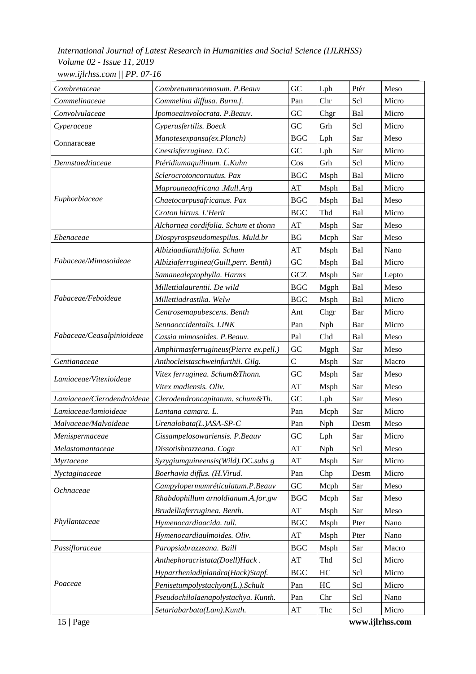| Combretaceae               | Combretumracemosum. P.Beauv           | GC                     | Lph        | Ptér | Meso  |
|----------------------------|---------------------------------------|------------------------|------------|------|-------|
| Commelinaceae              | Commelina diffusa. Burm.f.            | Pan                    | Chr        | Scl  | Micro |
| Convolvulaceae             | Ipomoeainvolocrata. P.Beauv.          | ${\rm GC}$             | Chgr       | Bal  | Micro |
| Cyperaceae                 | Cyperusfertilis. Boeck                | GC                     | Grh        | Scl  | Micro |
| Connaraceae                | Manotesexpansa(ex.Planch)             | BGC                    | Lph        | Sar  | Meso  |
|                            | Cnestisferruginea. D.C                | GC                     | Lph        | Sar  | Micro |
| Dennstaedtiaceae           | Ptéridiumaquilinum. L.Kuhn            | Cos                    | Grh        | Scl  | Micro |
| Euphorbiaceae              | Sclerocrotoncornutus. Pax             | <b>BGC</b>             | Msph       | Bal  | Micro |
|                            | Maprouneaafricana .Mull.Arg           | AT                     | Msph       | Bal  | Micro |
|                            | Chaetocarpusafricanus. Pax            | BGC                    | Msph       | Bal  | Meso  |
|                            | Croton hirtus. L'Herit                | <b>BGC</b>             | Thd        | Bal  | Micro |
|                            | Alchornea cordifolia. Schum et thonn  | AT                     | Msph       | Sar  | Meso  |
| Ebenaceae                  | Diospyrospseudomespilus. Muld.br      | BG                     | Mcph       | Sar  | Meso  |
|                            | Albiziaadianthifolia. Schum           | AT                     | Msph       | Bal  | Nano  |
| Fabaceae/Mimosoideae       | Albiziaferruginea(Guill, perr. Benth) | GC                     | Msph       | Bal  | Micro |
|                            | Samanealeptophylla. Harms             | GCZ                    | Msph       | Sar  | Lepto |
|                            | Millettialaurentii. De wild           | <b>BGC</b>             | Mgph       | Bal  | Meso  |
| Fabaceae/Feboideae         | Millettiadrastika. Welw               | <b>BGC</b>             | Msph       | Bal  | Micro |
|                            | Centrosemapubescens. Benth            | Ant                    | Chgr       | Bar  | Micro |
|                            | Sennaoccidentalis. LINK               | Pan                    | Nph        | Bar  | Micro |
| Fabaceae/Ceasalpinioideae  | Cassia mimosoides. P.Beauv.           | Pal                    | Chd        | Bal  | Meso  |
|                            | Amphirmasferrugineus(Pierre ex.pell.) | ${\rm GC}$             | Mgph       | Sar  | Meso  |
| Gentianaceae               | Anthocleistaschweinfurthii. Gilg.     | $\mathbf C$            | Msph       | Sar  | Macro |
| Lamiaceae/Vitexioideae     | Vitex ferruginea. Schum&Thonn.        | GC                     | Msph       | Sar  | Meso  |
|                            | Vitex madiensis. Oliv.                | AT                     | Msph       | Sar  | Meso  |
| Lamiaceae/Clerodendroideae | Clerodendroncapitatum. schum&Th.      | GC                     | Lph        | Sar  | Meso  |
| Lamiaceae/lamioideae       | Lantana camara. L.                    | Pan                    | Mcph       | Sar  | Micro |
| Malvaceae/Malvoideae       | Urenalobata(L.)ASA-SP-C               | Pan                    | <b>Nph</b> | Desm | Meso  |
| Menispermaceae             | Cissampelosowariensis. P.Beauv        | GC                     | Lph        | Sar  | Micro |
| Melastomantaceae           | Dissotisbrazzeana. Cogn               | $\mathbf{A}\mathbf{T}$ | Nph        | Scl  | Meso  |
| Myrtaceae                  | Syzygiumguineensis(Wild).DC.subs g    | AT                     | Msph       | Sar  | Micro |
| Nyctaginaceae              | Boerhavia diffus. (H.Virud.           | Pan                    | Chp        | Desm | Micro |
| Ochnaceae                  | Campylopermumréticulatum.P.Beauv      | ${\rm GC}$             | Mcph       | Sar  | Meso  |
|                            | Rhabdophillum arnoldianum.A.for.gw    | $_{\rm BGC}$           | Mcph       | Sar  | Meso  |
| Phyllantaceae              | Brudelliaferruginea. Benth.           | AT                     | Msph       | Sar  | Meso  |
|                            | Hymenocardiaacida. tull.              | <b>BGC</b>             | Msph       | Pter | Nano  |
|                            | Hymenocardiaulmoides. Oliv.           | AT                     | Msph       | Pter | Nano  |
| Passifloraceae             | Paropsiabrazzeana. Baill              | <b>BGC</b>             | Msph       | Sar  | Macro |
|                            | Anthephoracristata(Doell)Hack.        | $\mathbf{A}\mathbf{T}$ | Thd        | Scl  | Micro |
|                            | Hyparrheniadiplandra(Hack)Stapf.      | <b>BGC</b>             | HC         | Scl  | Micro |
| Poaceae                    | Penisetumpolystachyon(L.).Schult      | Pan                    | HC         | Scl  | Micro |
|                            | Pseudochilolaenapolystachya. Kunth.   | Pan                    | Chr        | Scl  | Nano  |
|                            | Setariabarbata(Lam). Kunth.           | $\mathbf{A}\mathbf{T}$ | Thc        | Scl  | Micro |

15 **|** Page **www.ijlrhss.com**